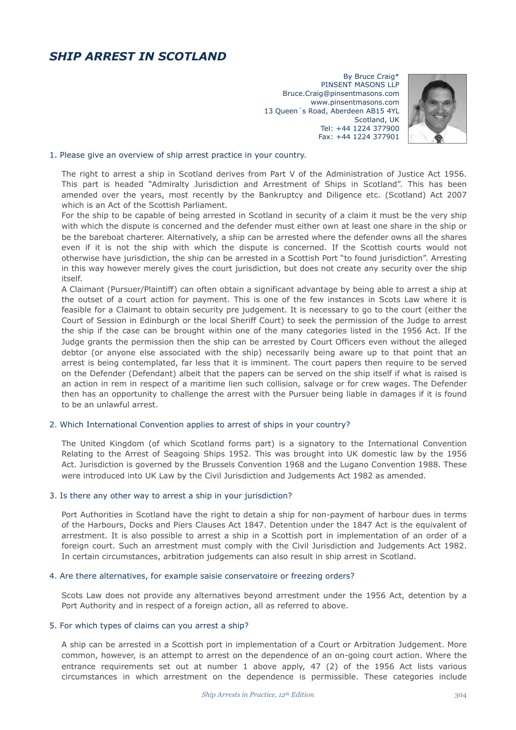# *SHIP ARREST IN SCOTLAND*

By Bruce Craig\* PINSENT MASONS LLP Bruce.Craig@pinsentmasons.com www.pinsentmasons.com 13 Queen´s Road, Aberdeen AB15 4YL Scotland, UK Tel: +44 1224 377900 Fax: +44 1224 377901



## 1. Please give an overview of ship arrest practice in your country.

The right to arrest a ship in Scotland derives from Part V of the Administration of Justice Act 1956. This part is headed "Admiralty Jurisdiction and Arrestment of Ships in Scotland". This has been amended over the years, most recently by the Bankruptcy and Diligence etc. (Scotland) Act 2007 which is an Act of the Scottish Parliament.

For the ship to be capable of being arrested in Scotland in security of a claim it must be the very ship with which the dispute is concerned and the defender must either own at least one share in the ship or be the bareboat charterer. Alternatively, a ship can be arrested where the defender owns all the shares even if it is not the ship with which the dispute is concerned. If the Scottish courts would not otherwise have jurisdiction, the ship can be arrested in a Scottish Port "to found jurisdiction". Arresting in this way however merely gives the court jurisdiction, but does not create any security over the ship itself.

A Claimant (Pursuer/Plaintiff) can often obtain a significant advantage by being able to arrest a ship at the outset of a court action for payment. This is one of the few instances in Scots Law where it is feasible for a Claimant to obtain security pre judgement. It is necessary to go to the court (either the Court of Session in Edinburgh or the local Sheriff Court) to seek the permission of the Judge to arrest the ship if the case can be brought within one of the many categories listed in the 1956 Act. If the Judge grants the permission then the ship can be arrested by Court Officers even without the alleged debtor (or anyone else associated with the ship) necessarily being aware up to that point that an arrest is being contemplated, far less that it is imminent. The court papers then require to be served on the Defender (Defendant) albeit that the papers can be served on the ship itself if what is raised is an action in rem in respect of a maritime lien such collision, salvage or for crew wages. The Defender then has an opportunity to challenge the arrest with the Pursuer being liable in damages if it is found to be an unlawful arrest.

## 2. Which International Convention applies to arrest of ships in your country?

The United Kingdom (of which Scotland forms part) is a signatory to the International Convention Relating to the Arrest of Seagoing Ships 1952. This was brought into UK domestic law by the 1956 Act. Jurisdiction is governed by the Brussels Convention 1968 and the Lugano Convention 1988. These were introduced into UK Law by the Civil Jurisdiction and Judgements Act 1982 as amended.

#### 3. Is there any other way to arrest a ship in your jurisdiction?

Port Authorities in Scotland have the right to detain a ship for non-payment of harbour dues in terms of the Harbours, Docks and Piers Clauses Act 1847. Detention under the 1847 Act is the equivalent of arrestment. It is also possible to arrest a ship in a Scottish port in implementation of an order of a foreign court. Such an arrestment must comply with the Civil Jurisdiction and Judgements Act 1982. In certain circumstances, arbitration judgements can also result in ship arrest in Scotland.

#### 4. Are there alternatives, for example saisie conservatoire or freezing orders?

Scots Law does not provide any alternatives beyond arrestment under the 1956 Act, detention by a Port Authority and in respect of a foreign action, all as referred to above.

#### 5. For which types of claims can you arrest a ship?

A ship can be arrested in a Scottish port in implementation of a Court or Arbitration Judgement. More common, however, is an attempt to arrest on the dependence of an on-going court action. Where the entrance requirements set out at number 1 above apply, 47 (2) of the 1956 Act lists various circumstances in which arrestment on the dependence is permissible. These categories include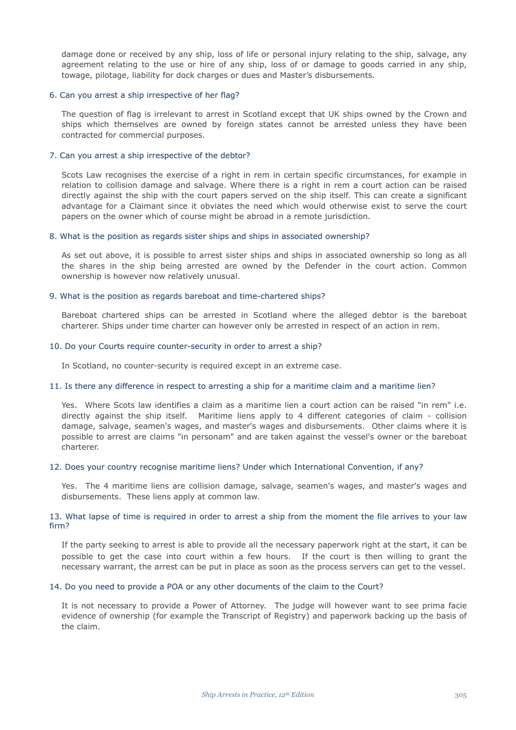damage done or received by any ship, loss of life or personal injury relating to the ship, salvage, any agreement relating to the use or hire of any ship, loss of or damage to goods carried in any ship, towage, pilotage, liability for dock charges or dues and Master's disbursements.

## 6. Can you arrest a ship irrespective of her flag?

The question of flag is irrelevant to arrest in Scotland except that UK ships owned by the Crown and ships which themselves are owned by foreign states cannot be arrested unless they have been contracted for commercial purposes.

# 7. Can you arrest a ship irrespective of the debtor?

Scots Law recognises the exercise of a right in rem in certain specific circumstances, for example in relation to collision damage and salvage. Where there is a right in rem a court action can be raised directly against the ship with the court papers served on the ship itself. This can create a significant advantage for a Claimant since it obviates the need which would otherwise exist to serve the court papers on the owner which of course might be abroad in a remote jurisdiction.

## 8. What is the position as regards sister ships and ships in associated ownership?

As set out above, it is possible to arrest sister ships and ships in associated ownership so long as all the shares in the ship being arrested are owned by the Defender in the court action. Common ownership is however now relatively unusual.

## 9. What is the position as regards bareboat and time-chartered ships?

Bareboat chartered ships can be arrested in Scotland where the alleged debtor is the bareboat charterer. Ships under time charter can however only be arrested in respect of an action in rem.

## 10. Do your Courts require counter-security in order to arrest a ship?

In Scotland, no counter-security is required except in an extreme case.

#### 11. Is there any difference in respect to arresting a ship for a maritime claim and a maritime lien?

Yes. Where Scots law identifies a claim as a maritime lien a court action can be raised "in rem" i.e. directly against the ship itself. Maritime liens apply to 4 different categories of claim - collision damage, salvage, seamen's wages, and master's wages and disbursements. Other claims where it is possible to arrest are claims "in personam" and are taken against the vessel's owner or the bareboat charterer.

# 12. Does your country recognise maritime liens? Under which International Convention, if any?

Yes. The 4 maritime liens are collision damage, salvage, seamen's wages, and master's wages and disbursements. These liens apply at common law.

# 13. What lapse of time is required in order to arrest a ship from the moment the file arrives to your law firm?

If the party seeking to arrest is able to provide all the necessary paperwork right at the start, it can be possible to get the case into court within a few hours. If the court is then willing to grant the necessary warrant, the arrest can be put in place as soon as the process servers can get to the vessel.

# 14. Do you need to provide a POA or any other documents of the claim to the Court?

It is not necessary to provide a Power of Attorney. The judge will however want to see prima facie evidence of ownership (for example the Transcript of Registry) and paperwork backing up the basis of the claim.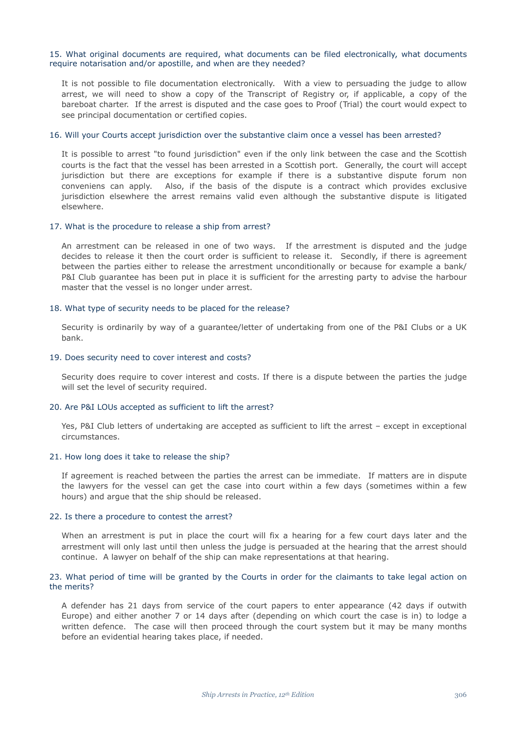## 15. What original documents are required, what documents can be filed electronically, what documents require notarisation and/or apostille, and when are they needed?

It is not possible to file documentation electronically. With a view to persuading the judge to allow arrest, we will need to show a copy of the Transcript of Registry or, if applicable, a copy of the bareboat charter. If the arrest is disputed and the case goes to Proof (Trial) the court would expect to see principal documentation or certified copies.

#### 16. Will your Courts accept jurisdiction over the substantive claim once a vessel has been arrested?

It is possible to arrest "to found jurisdiction" even if the only link between the case and the Scottish courts is the fact that the vessel has been arrested in a Scottish port. Generally, the court will accept jurisdiction but there are exceptions for example if there is a substantive dispute forum non conveniens can apply. Also, if the basis of the dispute is a contract which provides exclusive jurisdiction elsewhere the arrest remains valid even although the substantive dispute is litigated elsewhere.

## 17. What is the procedure to release a ship from arrest?

An arrestment can be released in one of two ways. If the arrestment is disputed and the judge decides to release it then the court order is sufficient to release it. Secondly, if there is agreement between the parties either to release the arrestment unconditionally or because for example a bank/ P&I Club guarantee has been put in place it is sufficient for the arresting party to advise the harbour master that the vessel is no longer under arrest.

# 18. What type of security needs to be placed for the release?

Security is ordinarily by way of a guarantee/letter of undertaking from one of the P&I Clubs or a UK bank.

# 19. Does security need to cover interest and costs?

Security does require to cover interest and costs. If there is a dispute between the parties the judge will set the level of security required.

# 20. Are P&I LOUs accepted as sufficient to lift the arrest?

Yes, P&I Club letters of undertaking are accepted as sufficient to lift the arrest - except in exceptional circumstances.

#### 21. How long does it take to release the ship?

If agreement is reached between the parties the arrest can be immediate. If matters are in dispute the lawyers for the vessel can get the case into court within a few days (sometimes within a few hours) and argue that the ship should be released.

## 22. Is there a procedure to contest the arrest?

When an arrestment is put in place the court will fix a hearing for a few court days later and the arrestment will only last until then unless the judge is persuaded at the hearing that the arrest should continue. A lawyer on behalf of the ship can make representations at that hearing.

# 23. What period of time will be granted by the Courts in order for the claimants to take legal action on the merits?

A defender has 21 days from service of the court papers to enter appearance (42 days if outwith Europe) and either another 7 or 14 days after (depending on which court the case is in) to lodge a written defence. The case will then proceed through the court system but it may be many months before an evidential hearing takes place, if needed.